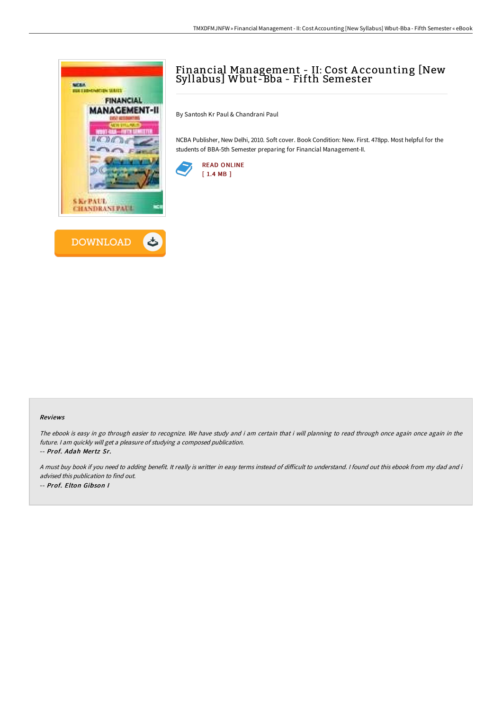



## Financial Management - II: Cost A ccounting [New Syllabus] Wbut-Bba - Fifth Semester

By Santosh Kr Paul & Chandrani Paul

NCBA Publisher, New Delhi, 2010. Soft cover. Book Condition: New. First. 478pp. Most helpful for the students of BBA-5th Semester preparing for Financial Management-II.



## Reviews

The ebook is easy in go through easier to recognize. We have study and i am certain that i will planning to read through once again once again in the future. <sup>I</sup> am quickly will get <sup>a</sup> pleasure of studying <sup>a</sup> composed publication. -- Prof. Adah Mertz Sr.

A must buy book if you need to adding benefit. It really is writter in easy terms instead of difficult to understand. I found out this ebook from my dad and i advised this publication to find out. -- Prof. Elton Gibson I